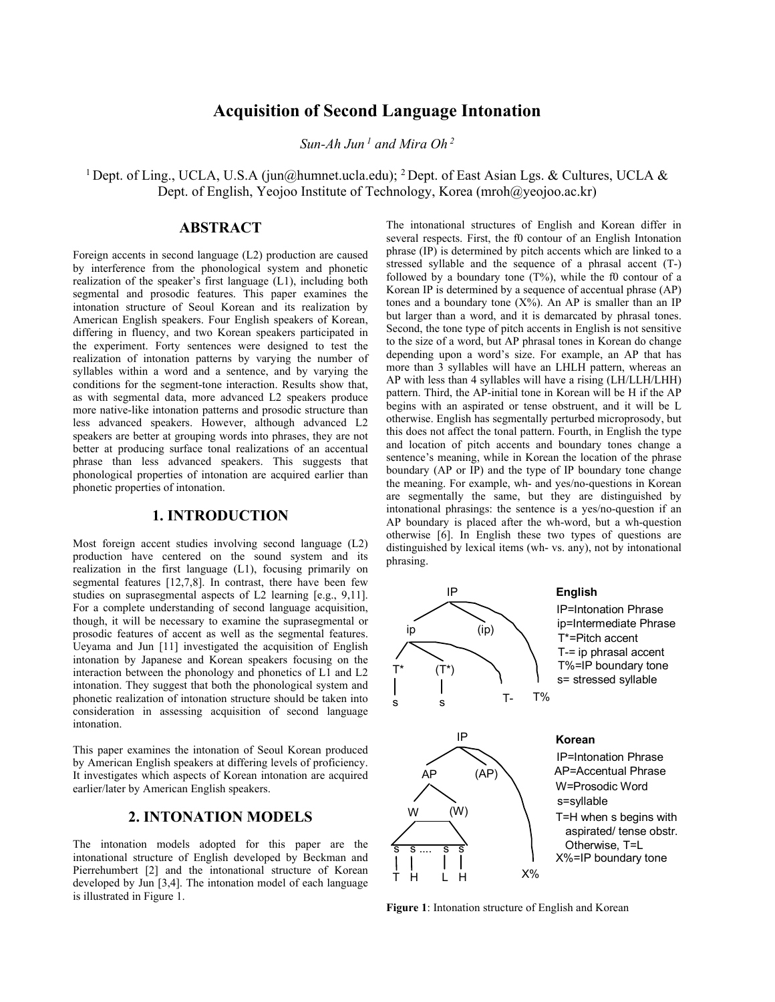# **Acquisition of Second Language Intonation**

*Sun-Ah Jun <sup>1</sup> and Mira Oh <sup>2</sup>*

<sup>1</sup> Dept. of Ling., UCLA, U.S.A (jun@humnet.ucla.edu); <sup>2</sup> Dept. of East Asian Lgs. & Cultures, UCLA & Dept. of English, Yeojoo Institute of Technology, Korea (mroh@yeojoo.ac.kr)

#### **ABSTRACT**

Foreign accents in second language (L2) production are caused by interference from the phonological system and phonetic realization of the speaker's first language (L1), including both segmental and prosodic features. This paper examines the intonation structure of Seoul Korean and its realization by American English speakers. Four English speakers of Korean, differing in fluency, and two Korean speakers participated in the experiment. Forty sentences were designed to test the realization of intonation patterns by varying the number of syllables within a word and a sentence, and by varying the conditions for the segment-tone interaction. Results show that, as with segmental data, more advanced L2 speakers produce more native-like intonation patterns and prosodic structure than less advanced speakers. However, although advanced L2 speakers are better at grouping words into phrases, they are not better at producing surface tonal realizations of an accentual phrase than less advanced speakers. This suggests that phonological properties of intonation are acquired earlier than phonetic properties of intonation.

## **1. INTRODUCTION**

Most foreign accent studies involving second language (L2) production have centered on the sound system and its realization in the first language (L1), focusing primarily on segmental features [12,7,8]. In contrast, there have been few studies on suprasegmental aspects of L2 learning [e.g., 9,11]. For a complete understanding of second language acquisition, though, it will be necessary to examine the suprasegmental or prosodic features of accent as well as the segmental features. Ueyama and Jun [11] investigated the acquisition of English intonation by Japanese and Korean speakers focusing on the interaction between the phonology and phonetics of L1 and L2 intonation. They suggest that both the phonological system and phonetic realization of intonation structure should be taken into consideration in assessing acquisition of second language intonation.

This paper examines the intonation of Seoul Korean produced by American English speakers at differing levels of proficiency. It investigates which aspects of Korean intonation are acquired earlier/later by American English speakers.

### **2. INTONATION MODELS**

The intonation models adopted for this paper are the intonational structure of English developed by Beckman and Pierrehumbert [2] and the intonational structure of Korean developed by Jun [3,4]. The intonation model of each language is illustrated in Figure 1.

The intonational structures of English and Korean differ in several respects. First, the f0 contour of an English Intonation phrase (IP) is determined by pitch accents which are linked to a stressed syllable and the sequence of a phrasal accent (T-) followed by a boundary tone  $(T\%)$ , while the f0 contour of a Korean IP is determined by a sequence of accentual phrase (AP) tones and a boundary tone  $(X\%)$ . An AP is smaller than an IP but larger than a word, and it is demarcated by phrasal tones. Second, the tone type of pitch accents in English is not sensitive to the size of a word, but AP phrasal tones in Korean do change depending upon a word's size. For example, an AP that has more than 3 syllables will have an LHLH pattern, whereas an AP with less than 4 syllables will have a rising (LH/LLH/LHH) pattern. Third, the AP-initial tone in Korean will be H if the AP begins with an aspirated or tense obstruent, and it will be L otherwise. English has segmentally perturbed microprosody, but this does not affect the tonal pattern. Fourth, in English the type and location of pitch accents and boundary tones change a sentence's meaning, while in Korean the location of the phrase boundary (AP or IP) and the type of IP boundary tone change the meaning. For example, wh- and yes/no-questions in Korean are segmentally the same, but they are distinguished by intonational phrasings: the sentence is a yes/no-question if an AP boundary is placed after the wh-word, but a wh-question otherwise [6]. In English these two types of questions are distinguished by lexical items (wh- vs. any), not by intonational phrasing.



**Figure 1**: Intonation structure of English and Korean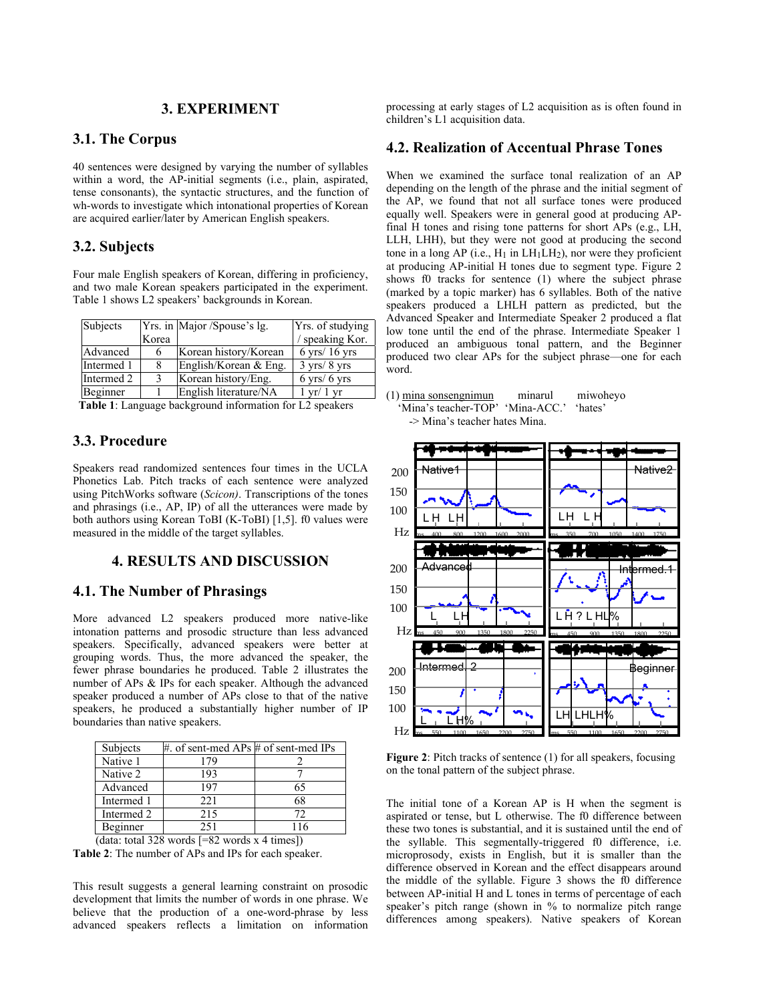### **3. EXPERIMENT**

#### **3.1. The Corpus**

40 sentences were designed by varying the number of syllables within a word, the AP-initial segments (i.e., plain, aspirated, tense consonants), the syntactic structures, and the function of wh-words to investigate which intonational properties of Korean are acquired earlier/later by American English speakers.

#### **3.2. Subjects**

Four male English speakers of Korean, differing in proficiency, and two male Korean speakers participated in the experiment. Table 1 shows L2 speakers' backgrounds in Korean.

| Subjects   |              | Yrs. in Major /Spouse's lg. | Yrs. of studying                |
|------------|--------------|-----------------------------|---------------------------------|
|            | Korea        |                             | speaking Kor.                   |
| Advanced   | 6            | Korean history/Korean       | $6$ yrs $/16$ yrs               |
| Intermed 1 | 8            | English/Korean & Eng.       | $3 \text{ yrs} / 8 \text{ yrs}$ |
| Intermed 2 | $\mathbf{R}$ | Korean history/Eng.         | $6 \text{ yrs} / 6 \text{ yrs}$ |
| Beginner   |              | English literature/NA       | $1 \text{ yr}/1 \text{ yr}$     |

**Table 1**: Language background information for L2 speakers

## **3.3. Procedure**

Speakers read randomized sentences four times in the UCLA Phonetics Lab. Pitch tracks of each sentence were analyzed using PitchWorks software (*Scicon)*. Transcriptions of the tones and phrasings (i.e., AP, IP) of all the utterances were made by both authors using Korean ToBI (K-ToBI) [1,5]. f0 values were measured in the middle of the target syllables.

### **4. RESULTS AND DISCUSSION**

## **4.1. The Number of Phrasings**

More advanced L2 speakers produced more native-like intonation patterns and prosodic structure than less advanced speakers. Specifically, advanced speakers were better at grouping words. Thus, the more advanced the speaker, the fewer phrase boundaries he produced. Table 2 illustrates the number of APs & IPs for each speaker. Although the advanced speaker produced a number of APs close to that of the native speakers, he produced a substantially higher number of IP boundaries than native speakers.

| Subjects                                        | #. of sent-med APs $#$ of sent-med IPs |     |  |  |
|-------------------------------------------------|----------------------------------------|-----|--|--|
| Native 1                                        | 179                                    |     |  |  |
| Native 2                                        | 193                                    |     |  |  |
| Advanced                                        | 197                                    | 65  |  |  |
| Intermed 1                                      | 221                                    | 68  |  |  |
| Intermed 2                                      | 215                                    | 72  |  |  |
| Beginner                                        | 251                                    | 116 |  |  |
| (data: total 328 words $[=82$ words x 4 times]) |                                        |     |  |  |

**Table 2**: The number of APs and IPs for each speaker.

This result suggests a general learning constraint on prosodic development that limits the number of words in one phrase. We believe that the production of a one-word-phrase by less advanced speakers reflects a limitation on information

processing at early stages of L2 acquisition as is often found in children's L1 acquisition data.

### **4.2. Realization of Accentual Phrase Tones**

When we examined the surface tonal realization of an AP depending on the length of the phrase and the initial segment of the AP, we found that not all surface tones were produced equally well. Speakers were in general good at producing APfinal H tones and rising tone patterns for short APs (e.g., LH, LLH, LHH), but they were not good at producing the second tone in a long AP (i.e.,  $H_1$  in  $LH_1LH_2$ ), nor were they proficient at producing AP-initial H tones due to segment type. Figure 2 shows f0 tracks for sentence (1) where the subject phrase (marked by a topic marker) has 6 syllables. Both of the native speakers produced a LHLH pattern as predicted, but the Advanced Speaker and Intermediate Speaker 2 produced a flat low tone until the end of the phrase. Intermediate Speaker 1 produced an ambiguous tonal pattern, and the Beginner produced two clear APs for the subject phrase—one for each word.

<sup>(1)</sup> mina sonsengnimun minarul miwoheyo 'Mina's teacher-TOP' 'Mina-ACC.' 'hates' -> Mina's teacher hates Mina.



**Figure 2**: Pitch tracks of sentence (1) for all speakers, focusing on the tonal pattern of the subject phrase.

The initial tone of a Korean AP is H when the segment is aspirated or tense, but L otherwise. The f0 difference between these two tones is substantial, and it is sustained until the end of the syllable. This segmentally-triggered f0 difference, i.e. microprosody, exists in English, but it is smaller than the difference observed in Korean and the effect disappears around the middle of the syllable. Figure 3 shows the f0 difference between AP-initial H and L tones in terms of percentage of each speaker's pitch range (shown in % to normalize pitch range differences among speakers). Native speakers of Korean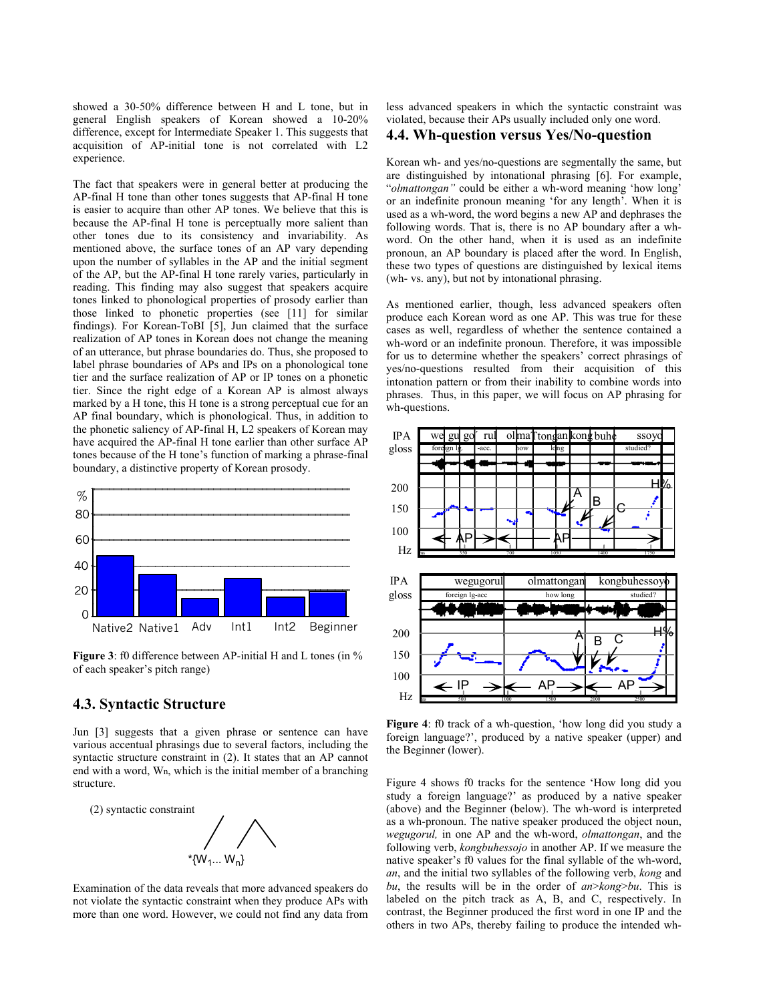showed a 30-50% difference between H and L tone, but in general English speakers of Korean showed a 10-20% difference, except for Intermediate Speaker 1. This suggests that acquisition of AP-initial tone is not correlated with L2 experience.

The fact that speakers were in general better at producing the AP-final H tone than other tones suggests that AP-final H tone is easier to acquire than other AP tones. We believe that this is because the AP-final H tone is perceptually more salient than other tones due to its consistency and invariability. As mentioned above, the surface tones of an AP vary depending upon the number of syllables in the AP and the initial segment of the AP, but the AP-final H tone rarely varies, particularly in reading. This finding may also suggest that speakers acquire tones linked to phonological properties of prosody earlier than those linked to phonetic properties (see [11] for similar findings). For Korean-ToBI [5], Jun claimed that the surface realization of AP tones in Korean does not change the meaning of an utterance, but phrase boundaries do. Thus, she proposed to label phrase boundaries of APs and IPs on a phonological tone tier and the surface realization of AP or IP tones on a phonetic tier. Since the right edge of a Korean AP is almost always marked by a H tone, this H tone is a strong perceptual cue for an AP final boundary, which is phonological. Thus, in addition to the phonetic saliency of AP-final H, L2 speakers of Korean may have acquired the AP-final H tone earlier than other surface AP tones because of the H tone's function of marking a phrase-final boundary, a distinctive property of Korean prosody.



**Figure 3**: f0 difference between AP-initial H and L tones (in % of each speaker's pitch range)

#### **4.3. Syntactic Structure**

Jun [3] suggests that a given phrase or sentence can have various accentual phrasings due to several factors, including the syntactic structure constraint in (2). It states that an AP cannot end with a word, Wn, which is the initial member of a branching structure.



Examination of the data reveals that more advanced speakers do not violate the syntactic constraint when they produce APs with more than one word. However, we could not find any data from

less advanced speakers in which the syntactic constraint was violated, because their APs usually included only one word.

## **4.4. Wh-question versus Yes/No-question**

Korean wh- and yes/no-questions are segmentally the same, but are distinguished by intonational phrasing [6]. For example, "*olmattongan"* could be either a wh-word meaning 'how long' or an indefinite pronoun meaning 'for any length'. When it is used as a wh-word, the word begins a new AP and dephrases the following words. That is, there is no AP boundary after a whword. On the other hand, when it is used as an indefinite pronoun, an AP boundary is placed after the word. In English, these two types of questions are distinguished by lexical items (wh- vs. any), but not by intonational phrasing.

As mentioned earlier, though, less advanced speakers often produce each Korean word as one AP. This was true for these cases as well, regardless of whether the sentence contained a wh-word or an indefinite pronoun. Therefore, it was impossible for us to determine whether the speakers' correct phrasings of yes/no-questions resulted from their acquisition of this intonation pattern or from their inability to combine words into phrases. Thus, in this paper, we will focus on AP phrasing for wh-questions.



**Figure 4**: f0 track of a wh-question, 'how long did you study a foreign language?', produced by a native speaker (upper) and the Beginner (lower).

Figure 4 shows f0 tracks for the sentence 'How long did you study a foreign language?' as produced by a native speaker (above) and the Beginner (below). The wh-word is interpreted as a wh-pronoun. The native speaker produced the object noun, *wegugorul,* in one AP and the wh-word, *olmattongan*, and the following verb, *kongbuhessojo* in another AP. If we measure the native speaker's f0 values for the final syllable of the wh-word, *an*, and the initial two syllables of the following verb, *kong* and *bu*, the results will be in the order of *an*>*kong*>*bu*. This is labeled on the pitch track as A, B, and C, respectively. In contrast, the Beginner produced the first word in one IP and the others in two APs, thereby failing to produce the intended wh